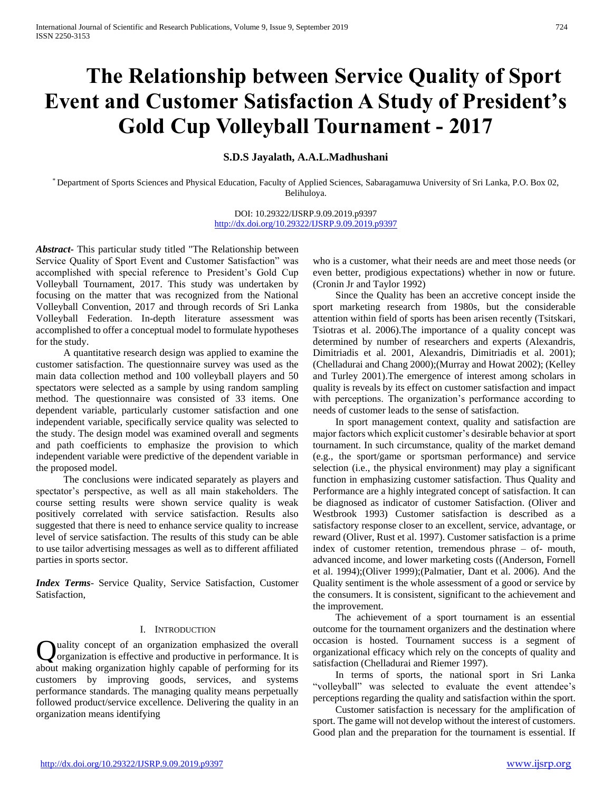# **The Relationship between Service Quality of Sport Event and Customer Satisfaction A Study of President's Gold Cup Volleyball Tournament - 2017**

# **S.D.S Jayalath, A.A.L.Madhushani**

\* Department of Sports Sciences and Physical Education, Faculty of Applied Sciences, Sabaragamuwa University of Sri Lanka, P.O. Box 02, Belihuloya.

> DOI: 10.29322/IJSRP.9.09.2019.p9397 <http://dx.doi.org/10.29322/IJSRP.9.09.2019.p9397>

*Abstract***-** This particular study titled "The Relationship between Service Quality of Sport Event and Customer Satisfaction" was accomplished with special reference to President's Gold Cup Volleyball Tournament, 2017. This study was undertaken by focusing on the matter that was recognized from the National Volleyball Convention, 2017 and through records of Sri Lanka Volleyball Federation. In-depth literature assessment was accomplished to offer a conceptual model to formulate hypotheses for the study.

 A quantitative research design was applied to examine the customer satisfaction. The questionnaire survey was used as the main data collection method and 100 volleyball players and 50 spectators were selected as a sample by using random sampling method. The questionnaire was consisted of 33 items. One dependent variable, particularly customer satisfaction and one independent variable, specifically service quality was selected to the study. The design model was examined overall and segments and path coefficients to emphasize the provision to which independent variable were predictive of the dependent variable in the proposed model.

 The conclusions were indicated separately as players and spectator's perspective, as well as all main stakeholders. The course setting results were shown service quality is weak positively correlated with service satisfaction. Results also suggested that there is need to enhance service quality to increase level of service satisfaction. The results of this study can be able to use tailor advertising messages as well as to different affiliated parties in sports sector.

*Index Terms*- Service Quality, Service Satisfaction, Customer Satisfaction,

### I. INTRODUCTION

uality concept of an organization emphasized the overall organization is effective and productive in performance. It is about making organization highly capable of performing for its customers by improving goods, services, and systems performance standards. The managing quality means perpetually followed product/service excellence. Delivering the quality in an organization means identifying  $\overline{Q}$ 

who is a customer, what their needs are and meet those needs (or even better, prodigious expectations) whether in now or future. (Cronin Jr and Taylor 1992)

 Since the Quality has been an accretive concept inside the sport marketing research from 1980s, but the considerable attention within field of sports has been arisen recently (Tsitskari, Tsiotras et al. 2006).The importance of a quality concept was determined by number of researchers and experts (Alexandris, Dimitriadis et al. 2001, Alexandris, Dimitriadis et al. 2001); (Chelladurai and Chang 2000);(Murray and Howat 2002); (Kelley and Turley 2001).The emergence of interest among scholars in quality is reveals by its effect on customer satisfaction and impact with perceptions. The organization's performance according to needs of customer leads to the sense of satisfaction.

 In sport management context, quality and satisfaction are major factors which explicit customer's desirable behavior at sport tournament. In such circumstance, quality of the market demand (e.g., the sport/game or sportsman performance) and service selection (i.e., the physical environment) may play a significant function in emphasizing customer satisfaction. Thus Quality and Performance are a highly integrated concept of satisfaction. It can be diagnosed as indicator of customer Satisfaction. (Oliver and Westbrook 1993) Customer satisfaction is described as a satisfactory response closer to an excellent, service, advantage, or reward (Oliver, Rust et al. 1997). Customer satisfaction is a prime index of customer retention, tremendous phrase – of- mouth, advanced income, and lower marketing costs ((Anderson, Fornell et al. 1994);(Oliver 1999);(Palmatier, Dant et al. 2006). And the Quality sentiment is the whole assessment of a good or service by the consumers. It is consistent, significant to the achievement and the improvement.

 The achievement of a sport tournament is an essential outcome for the tournament organizers and the destination where occasion is hosted. Tournament success is a segment of organizational efficacy which rely on the concepts of quality and satisfaction (Chelladurai and Riemer 1997).

 In terms of sports, the national sport in Sri Lanka "volleyball" was selected to evaluate the event attendee's perceptions regarding the quality and satisfaction within the sport.

 Customer satisfaction is necessary for the amplification of sport. The game will not develop without the interest of customers. Good plan and the preparation for the tournament is essential. If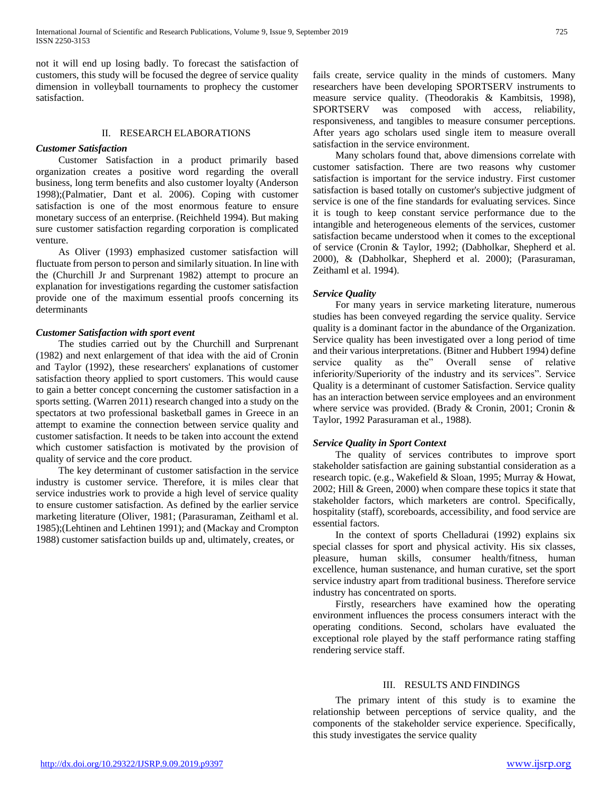not it will end up losing badly. To forecast the satisfaction of customers, this study will be focused the degree of service quality dimension in volleyball tournaments to prophecy the customer satisfaction.

### II. RESEARCH ELABORATIONS

## *Customer Satisfaction*

 Customer Satisfaction in a product primarily based organization creates a positive word regarding the overall business, long term benefits and also customer loyalty (Anderson 1998);(Palmatier, Dant et al. 2006). Coping with customer satisfaction is one of the most enormous feature to ensure monetary success of an enterprise. (Reichheld 1994). But making sure customer satisfaction regarding corporation is complicated venture.

 As Oliver (1993) emphasized customer satisfaction will fluctuate from person to person and similarly situation. In line with the (Churchill Jr and Surprenant 1982) attempt to procure an explanation for investigations regarding the customer satisfaction provide one of the maximum essential proofs concerning its determinants

#### *Customer Satisfaction with sport event*

 The studies carried out by the Churchill and Surprenant (1982) and next enlargement of that idea with the aid of Cronin and Taylor (1992), these researchers' explanations of customer satisfaction theory applied to sport customers. This would cause to gain a better concept concerning the customer satisfaction in a sports setting. (Warren 2011) research changed into a study on the spectators at two professional basketball games in Greece in an attempt to examine the connection between service quality and customer satisfaction. It needs to be taken into account the extend which customer satisfaction is motivated by the provision of quality of service and the core product.

 The key determinant of customer satisfaction in the service industry is customer service. Therefore, it is miles clear that service industries work to provide a high level of service quality to ensure customer satisfaction. As defined by the earlier service marketing literature (Oliver, 1981; (Parasuraman, Zeithaml et al. 1985);(Lehtinen and Lehtinen 1991); and (Mackay and Crompton 1988) customer satisfaction builds up and, ultimately, creates, or

fails create, service quality in the minds of customers. Many researchers have been developing SPORTSERV instruments to measure service quality. (Theodorakis & Kambitsis, 1998), SPORTSERV was composed with access, reliability, responsiveness, and tangibles to measure consumer perceptions. After years ago scholars used single item to measure overall satisfaction in the service environment.

 Many scholars found that, above dimensions correlate with customer satisfaction. There are two reasons why customer satisfaction is important for the service industry. First customer satisfaction is based totally on customer's subjective judgment of service is one of the fine standards for evaluating services. Since it is tough to keep constant service performance due to the intangible and heterogeneous elements of the services, customer satisfaction became understood when it comes to the exceptional of service (Cronin & Taylor, 1992; (Dabholkar, Shepherd et al. 2000), & (Dabholkar, Shepherd et al. 2000); (Parasuraman, Zeithaml et al. 1994).

### *Service Quality*

 For many years in service marketing literature, numerous studies has been conveyed regarding the service quality. Service quality is a dominant factor in the abundance of the Organization. Service quality has been investigated over a long period of time and their various interpretations. (Bitner and Hubbert 1994) define service quality as the" Overall sense of relative inferiority/Superiority of the industry and its services". Service Quality is a determinant of customer Satisfaction. Service quality has an interaction between service employees and an environment where service was provided. (Brady & Cronin, 2001; Cronin & Taylor, 1992 Parasuraman et al., 1988).

### *Service Quality in Sport Context*

 The quality of services contributes to improve sport stakeholder satisfaction are gaining substantial consideration as a research topic. (e.g., Wakefield & Sloan, 1995; Murray & Howat, 2002; Hill & Green, 2000) when compare these topics it state that stakeholder factors, which marketers are control. Specifically, hospitality (staff), scoreboards, accessibility, and food service are essential factors.

 In the context of sports Chelladurai (1992) explains six special classes for sport and physical activity. His six classes, pleasure, human skills, consumer health/fitness, human excellence, human sustenance, and human curative, set the sport service industry apart from traditional business. Therefore service industry has concentrated on sports.

 Firstly, researchers have examined how the operating environment influences the process consumers interact with the operating conditions. Second, scholars have evaluated the exceptional role played by the staff performance rating staffing rendering service staff.

#### III. RESULTS AND FINDINGS

 The primary intent of this study is to examine the relationship between perceptions of service quality, and the components of the stakeholder service experience. Specifically, this study investigates the service quality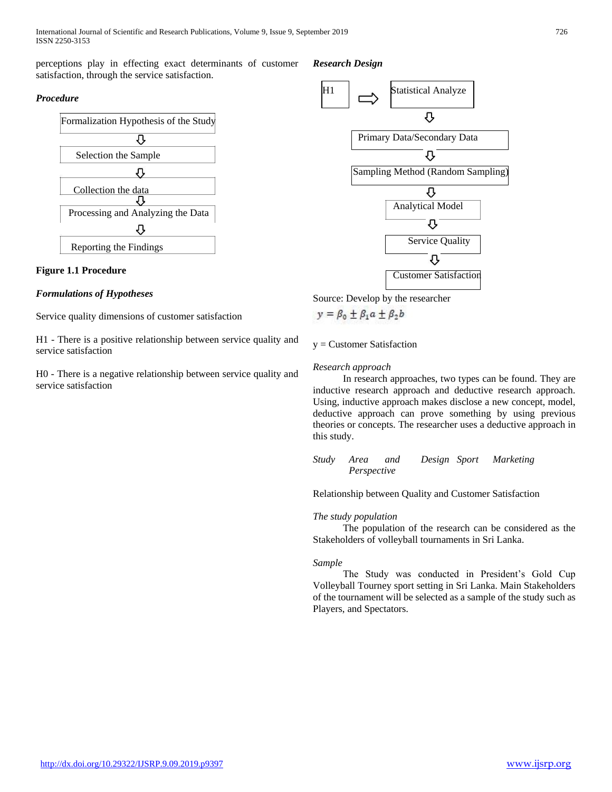perceptions play in effecting exact determinants of customer satisfaction, through the service satisfaction.

# *Procedure*



# **Figure 1.1 Procedure**

# *Formulations of Hypotheses*

Service quality dimensions of customer satisfaction

H1 - There is a positive relationship between service quality and service satisfaction

H0 - There is a negative relationship between service quality and service satisfaction

*Research Design*



Source: Develop by the researcher

$$
y = \beta_0 \pm \beta_1 a \pm \beta_2 b
$$

y = Customer Satisfaction

## *Research approach*

 In research approaches, two types can be found. They are inductive research approach and deductive research approach. Using, inductive approach makes disclose a new concept, model, deductive approach can prove something by using previous theories or concepts. The researcher uses a deductive approach in this study.

*Study Area and Design Sport Marketing Perspective*

Relationship between Quality and Customer Satisfaction

# *The study population*

 The population of the research can be considered as the Stakeholders of volleyball tournaments in Sri Lanka.

### *Sample*

 The Study was conducted in President's Gold Cup Volleyball Tourney sport setting in Sri Lanka. Main Stakeholders of the tournament will be selected as a sample of the study such as Players, and Spectators.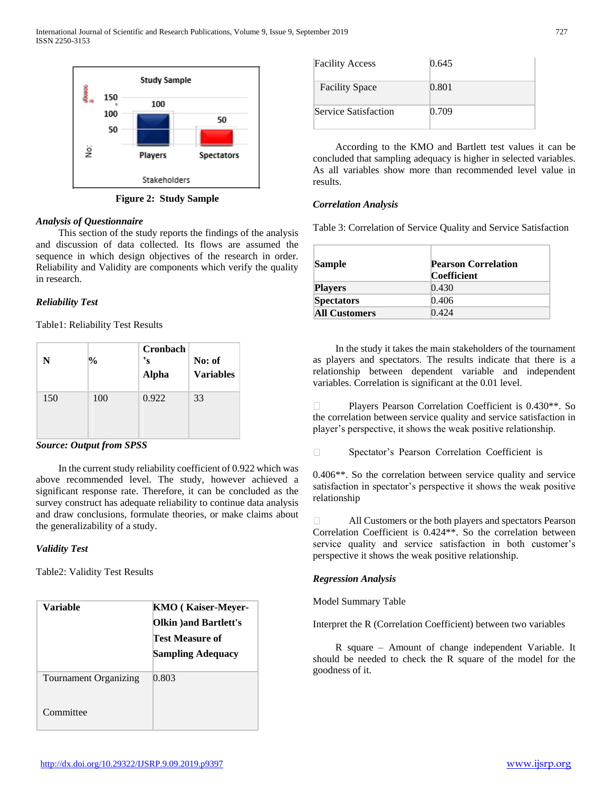

**Figure 2: Study Sample**

## *Analysis of Questionnaire*

 This section of the study reports the findings of the analysis and discussion of data collected. Its flows are assumed the sequence in which design objectives of the research in order. Reliability and Validity are components which verify the quality in research.

# *Reliability Test*

Table1: Reliability Test Results

| N   | $\frac{0}{0}$ | Cronbach<br>'s<br><b>Alpha</b> | No: of<br><b>Variables</b> |
|-----|---------------|--------------------------------|----------------------------|
| 150 | 100           | 0.922                          | 33                         |

*Source: Output from SPSS*

 In the current study reliability coefficient of 0.922 which was above recommended level. The study, however achieved a significant response rate. Therefore, it can be concluded as the survey construct has adequate reliability to continue data analysis and draw conclusions, formulate theories, or make claims about the generalizability of a study.

# *Validity Test*

Table2: Validity Test Results

| Variable              | KMO (Kaiser-Meyer-<br>Olkin ) and Bartlett's<br>Test Measure of |  |  |
|-----------------------|-----------------------------------------------------------------|--|--|
|                       | <b>Sampling Adequacy</b>                                        |  |  |
| Tournament Organizing | 0.803                                                           |  |  |
| Committee             |                                                                 |  |  |

| <b>Facility Access</b> | 0.645 |  |  |
|------------------------|-------|--|--|
| <b>Facility Space</b>  | 0.801 |  |  |
| Service Satisfaction   | 0.709 |  |  |

 According to the KMO and Bartlett test values it can be concluded that sampling adequacy is higher in selected variables. As all variables show more than recommended level value in results.

## *Correlation Analysis*

Table 3: Correlation of Service Quality and Service Satisfaction

| <b>Sample</b>        | <b>Pearson Correlation</b><br><b>Coefficient</b> |  |  |
|----------------------|--------------------------------------------------|--|--|
| <b>Players</b>       | 0.430                                            |  |  |
| <b>Spectators</b>    | 0.406                                            |  |  |
| <b>All Customers</b> | 0.424                                            |  |  |

 In the study it takes the main stakeholders of the tournament as players and spectators. The results indicate that there is a relationship between dependent variable and independent variables. Correlation is significant at the 0.01 level.

 $\Box$ Players Pearson Correlation Coefficient is 0.430\*\*. So the correlation between service quality and service satisfaction in player's perspective, it shows the weak positive relationship.

 $\Box$ Spectator's Pearson Correlation Coefficient is

0.406\*\*. So the correlation between service quality and service satisfaction in spectator's perspective it shows the weak positive relationship

All Customers or the both players and spectators Pearson Correlation Coefficient is 0.424\*\*. So the correlation between service quality and service satisfaction in both customer's perspective it shows the weak positive relationship.

### *Regression Analysis*

Model Summary Table

Interpret the R (Correlation Coefficient) between two variables

 R square – Amount of change independent Variable. It should be needed to check the R square of the model for the goodness of it.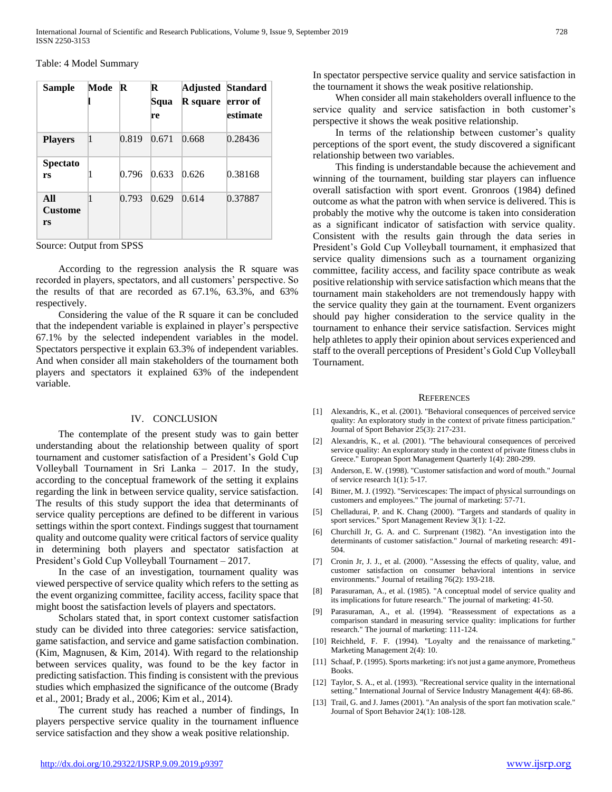Table: 4 Model Summary

| <b>Sample</b>               | Mode | $\mathbb{R}$ | R<br>Squa<br>re | <b>R</b> square error of | Adjusted Standard<br>estimate |
|-----------------------------|------|--------------|-----------------|--------------------------|-------------------------------|
| <b>Players</b>              | 1    | 0.819        | 0.671           | 0.668                    | 0.28436                       |
| <b>Spectato</b><br>rs       | 1    | 0.796        | 0.633           | 0.626                    | 0.38168                       |
| All<br><b>Custome</b><br>rs | 1    | 0.793        | 0.629           | 0.614                    | 0.37887                       |

Source: Output from SPSS

 According to the regression analysis the R square was recorded in players, spectators, and all customers' perspective. So the results of that are recorded as 67.1%, 63.3%, and 63% respectively.

 Considering the value of the R square it can be concluded that the independent variable is explained in player's perspective 67.1% by the selected independent variables in the model. Spectators perspective it explain 63.3% of independent variables. And when consider all main stakeholders of the tournament both players and spectators it explained 63% of the independent variable.

#### IV. CONCLUSION

 The contemplate of the present study was to gain better understanding about the relationship between quality of sport tournament and customer satisfaction of a President's Gold Cup Volleyball Tournament in Sri Lanka – 2017. In the study, according to the conceptual framework of the setting it explains regarding the link in between service quality, service satisfaction. The results of this study support the idea that determinants of service quality perceptions are defined to be different in various settings within the sport context. Findings suggest that tournament quality and outcome quality were critical factors of service quality in determining both players and spectator satisfaction at President's Gold Cup Volleyball Tournament – 2017.

 In the case of an investigation, tournament quality was viewed perspective of service quality which refers to the setting as the event organizing committee, facility access, facility space that might boost the satisfaction levels of players and spectators.

 Scholars stated that, in sport context customer satisfaction study can be divided into three categories: service satisfaction, game satisfaction, and service and game satisfaction combination. (Kim, Magnusen, & Kim, 2014). With regard to the relationship between services quality, was found to be the key factor in predicting satisfaction. This finding is consistent with the previous studies which emphasized the significance of the outcome (Brady et al., 2001; Brady et al., 2006; Kim et al., 2014).

 The current study has reached a number of findings, In players perspective service quality in the tournament influence service satisfaction and they show a weak positive relationship.

In spectator perspective service quality and service satisfaction in the tournament it shows the weak positive relationship.

 When consider all main stakeholders overall influence to the service quality and service satisfaction in both customer's perspective it shows the weak positive relationship.

 In terms of the relationship between customer's quality perceptions of the sport event, the study discovered a significant relationship between two variables.

 This finding is understandable because the achievement and winning of the tournament, building star players can influence overall satisfaction with sport event. Gronroos (1984) defined outcome as what the patron with when service is delivered. This is probably the motive why the outcome is taken into consideration as a significant indicator of satisfaction with service quality. Consistent with the results gain through the data series in President's Gold Cup Volleyball tournament, it emphasized that service quality dimensions such as a tournament organizing committee, facility access, and facility space contribute as weak positive relationship with service satisfaction which means that the tournament main stakeholders are not tremendously happy with the service quality they gain at the tournament. Event organizers should pay higher consideration to the service quality in the tournament to enhance their service satisfaction. Services might help athletes to apply their opinion about services experienced and staff to the overall perceptions of President's Gold Cup Volleyball Tournament.

#### **REFERENCES**

- [1] Alexandris, K., et al. (2001). "Behavioral consequences of perceived service quality: An exploratory study in the context of private fitness participation." Journal of Sport Behavior 25(3): 217-231.
- [2] Alexandris, K., et al. (2001). "The behavioural consequences of perceived service quality: An exploratory study in the context of private fitness clubs in Greece." European Sport Management Quarterly 1(4): 280-299.
- [3] Anderson, E. W. (1998). "Customer satisfaction and word of mouth." Journal of service research 1(1): 5-17.
- [4] Bitner, M. J. (1992). "Servicescapes: The impact of physical surroundings on customers and employees." The journal of marketing: 57-71.
- [5] Chelladurai, P. and K. Chang (2000). "Targets and standards of quality in sport services." Sport Management Review 3(1): 1-22.
- [6] Churchill Jr, G. A. and C. Surprenant (1982). "An investigation into the determinants of customer satisfaction." Journal of marketing research: 491- 504.
- [7] Cronin Jr, J. J., et al. (2000). "Assessing the effects of quality, value, and customer satisfaction on consumer behavioral intentions in service environments." Journal of retailing 76(2): 193-218.
- [8] Parasuraman, A., et al. (1985). "A conceptual model of service quality and its implications for future research." The journal of marketing: 41-50.
- [9] Parasuraman, A., et al. (1994). "Reassessment of expectations as a comparison standard in measuring service quality: implications for further research." The journal of marketing: 111-124.
- [10] Reichheld, F. F. (1994). "Loyalty and the renaissance of marketing." Marketing Management 2(4): 10.
- [11] Schaaf, P. (1995). Sports marketing: it's not just a game anymore, Prometheus Books.
- [12] Taylor, S. A., et al. (1993). "Recreational service quality in the international setting." International Journal of Service Industry Management 4(4): 68-86.
- [13] Trail, G. and J. James (2001). "An analysis of the sport fan motivation scale." Journal of Sport Behavior 24(1): 108-128.